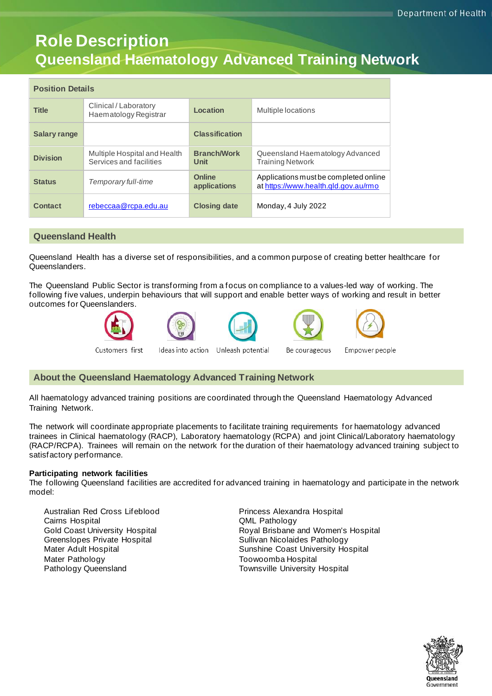# **Role Description Queensland Haematology Advanced Training Network**

| <b>Position Details</b> |                                                         |                            |                                                                               |
|-------------------------|---------------------------------------------------------|----------------------------|-------------------------------------------------------------------------------|
| <b>Title</b>            | Clinical / Laboratory<br>Haematology Registrar          | Location                   | Multiple locations                                                            |
| <b>Salary range</b>     |                                                         | <b>Classification</b>      |                                                                               |
| <b>Division</b>         | Multiple Hospital and Health<br>Services and facilities | <b>Branch/Work</b><br>Unit | Queensland Haematology Advanced<br><b>Training Network</b>                    |
| <b>Status</b>           | Temporary full-time                                     | Online<br>applications     | Applications must be completed online<br>at https://www.health.gld.gov.au/rmo |
| Contact                 | rebeccaa@rcpa.edu.au                                    | <b>Closing date</b>        | Monday, 4 July 2022                                                           |

# **Queensland Health**

Queensland Health has a diverse set of responsibilities, and a common purpose of creating better healthcare for Queenslanders.

The Queensland Public Sector is transforming from a focus on compliance to a values-led way of working. The following five values, underpin behaviours that will support and enable better ways of working and result in better outcomes for Queenslanders.









Customers first

Ideas into action Unleash potential

Be courageous

Empower people

# **About the Queensland Haematology Advanced Training Network**

All haematology advanced training positions are coordinated through the Queensland Haematology Advanced Training Network.

The network will coordinate appropriate placements to facilitate training requirements for haematology advanced trainees in Clinical haematology (RACP), Laboratory haematology (RCPA) and joint Clinical/Laboratory haematology (RACP/RCPA). Trainees will remain on the network for the duration of their haematology advanced training subject to satisfactory performance.

# **Participating network facilities**

The following Queensland facilities are accredited for advanced training in haematology and participate in the network model:

Australian Red Cross Lifeblood Cairns Hospital Gold Coast University Hospital Greenslopes Private Hospital Mater Adult Hospital Mater Pathology Pathology Queensland

Princess Alexandra Hospital QML Pathology Royal Brisbane and Women's Hospital Sullivan Nicolaides Pathology Sunshine Coast University Hospital Toowoomba Hospital Townsville University Hospital

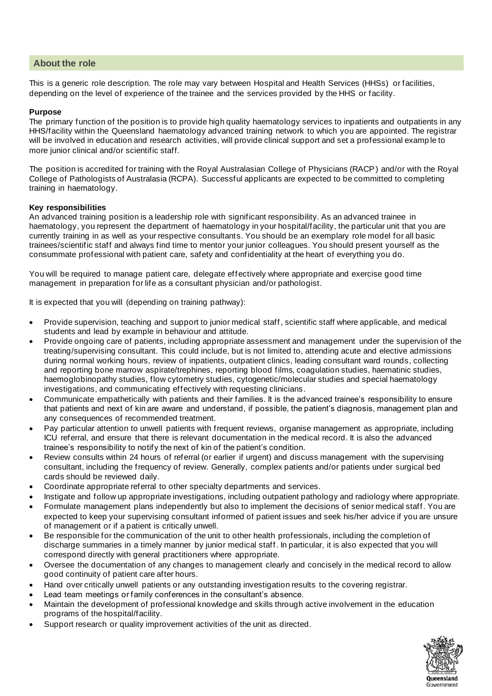# **About the role**

This is a generic role description. The role may vary between Hospital and Health Services (HHSs) or facilities, depending on the level of experience of the trainee and the services provided by the HHS or facility.

# **Purpose**

The primary function of the position is to provide high quality haematology services to inpatients and outpatients in any HHS/facility within the Queensland haematology advanced training network to which you are appointed. The registrar will be involved in education and research activities, will provide clinical support and set a professional examp le to more junior clinical and/or scientific staff.

The position is accredited for training with the Royal Australasian College of Physicians (RACP) and/or with the Royal College of Pathologists of Australasia (RCPA). Successful applicants are expected to be committed to completing training in haematology.

## **Key responsibilities**

An advanced training position is a leadership role with significant responsibility. As an advanced trainee in haematology, you represent the department of haematology in your hospital/facility, the particular unit that you are currently training in as well as your respective consultants. You should be an exemplary role model for all basic trainees/scientific staff and always find time to mentor your junior colleagues. You should present yourself as the consummate professional with patient care, safety and confidentiality at the heart of everything you do.

You will be required to manage patient care, delegate effectively where appropriate and exercise good time management in preparation for life as a consultant physician and/or pathologist.

It is expected that you will (depending on training pathway):

- Provide supervision, teaching and support to junior medical staff, scientific staff where applicable, and medical students and lead by example in behaviour and attitude.
- Provide ongoing care of patients, including appropriate assessment and management under the supervision of the treating/supervising consultant. This could include, but is not limited to, attending acute and elective admissions during normal working hours, review of inpatients, outpatient clinics, leading consultant ward rounds, collecting and reporting bone marrow aspirate/trephines, reporting blood films, coagulation studies, haematinic studies, haemoglobinopathy studies, flow cytometry studies, cytogenetic/molecular studies and special haematology investigations, and communicating effectively with requesting clinicians.
- Communicate empathetically with patients and their families. It is the advanced trainee's responsibility to ensure that patients and next of kin are aware and understand, if possible, the patient's diagnosis, management plan and any consequences of recommended treatment.
- Pay particular attention to unwell patients with frequent reviews, organise management as appropriate, including ICU referral, and ensure that there is relevant documentation in the medical record. It is also the advanced trainee's responsibility to notify the next of kin of the patient's condition.
- Review consults within 24 hours of referral (or earlier if urgent) and discuss management with the supervising consultant, including the frequency of review. Generally, complex patients and/or patients under surgical bed cards should be reviewed daily.
- Coordinate appropriate referral to other specialty departments and services.
- Instigate and follow up appropriate investigations, including outpatient pathology and radiology where appropriate.
- Formulate management plans independently but also to implement the decisions of senior medical staff. You are expected to keep your supervising consultant informed of patient issues and seek his/her advice if you are unsure of management or if a patient is critically unwell.
- Be responsible for the communication of the unit to other health professionals, including the completion of discharge summaries in a timely manner by junior medical staff. In particular, it is also expected that you will correspond directly with general practitioners where appropriate.
- Oversee the documentation of any changes to management clearly and concisely in the medical record to allow good continuity of patient care after hours.
- Hand over critically unwell patients or any outstanding investigation results to the covering registrar.
- Lead team meetings or family conferences in the consultant's absence.
- Maintain the development of professional knowledge and skills through active involvement in the education programs of the hospital/facility.
- Support research or quality improvement activities of the unit as directed.